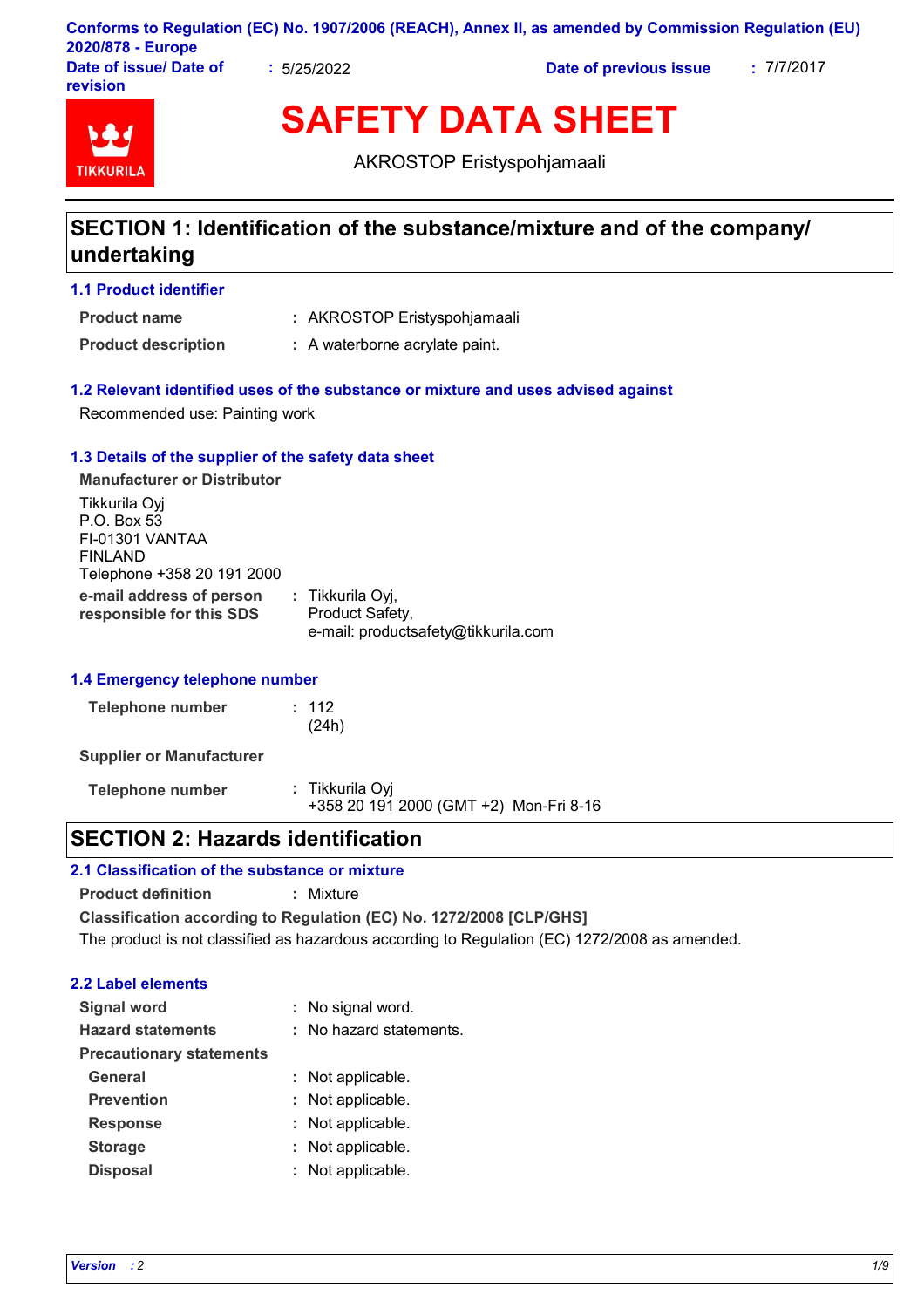|                        |             | Conforms to Regulation (EC) No. 1907/2006 (REACH), Annex II, as amended by Commission Regulation (EU) |            |
|------------------------|-------------|-------------------------------------------------------------------------------------------------------|------------|
| 2020/878 - Europe      |             |                                                                                                       |            |
| Date of issue/ Date of | : 5/25/2022 | Date of previous issue                                                                                | : 7/7/2017 |
| <b>revision</b>        |             |                                                                                                       |            |

# **TIKKURIL**

**SAFETY DATA SHEET**

AKROSTOP Eristyspohjamaali

# **SECTION 1: Identification of the substance/mixture and of the company/ undertaking**

### **1.1 Product identifier**

AKROSTOP Eristyspohjamaali **: Product name**

**Product description :** A waterborne acrylate paint.

### **1.2 Relevant identified uses of the substance or mixture and uses advised against**

Recommended use: Painting work

### **1.3 Details of the supplier of the safety data sheet**

**e-mail address of person responsible for this SDS :** Tikkurila Oyj, Product Safety, e-mail: productsafety@tikkurila.com **Manufacturer or Distributor** Tikkurila Oyj P.O. Box 53 FI-01301 VANTAA FINLAND Telephone +358 20 191 2000

### **1.4 Emergency telephone number**

| Telephone number | : 112 |
|------------------|-------|
|                  | (24h) |

**Supplier or Manufacturer**

**Telephone number :** Tikkurila Oyj +358 20 191 2000 (GMT +2) Mon-Fri 8-16

# **SECTION 2: Hazards identification**

### **2.1 Classification of the substance or mixture**

**Product definition :** Mixture

**Classification according to Regulation (EC) No. 1272/2008 [CLP/GHS]** The product is not classified as hazardous according to Regulation (EC) 1272/2008 as amended.

### **2.2 Label elements**

| <b>Signal word</b>              | : No signal word.       |
|---------------------------------|-------------------------|
| <b>Hazard statements</b>        | : No hazard statements. |
| <b>Precautionary statements</b> |                         |
| <b>General</b>                  | : Not applicable.       |
| <b>Prevention</b>               | : Not applicable.       |
| <b>Response</b>                 | : Not applicable.       |
| <b>Storage</b>                  | : Not applicable.       |
| <b>Disposal</b>                 | : Not applicable.       |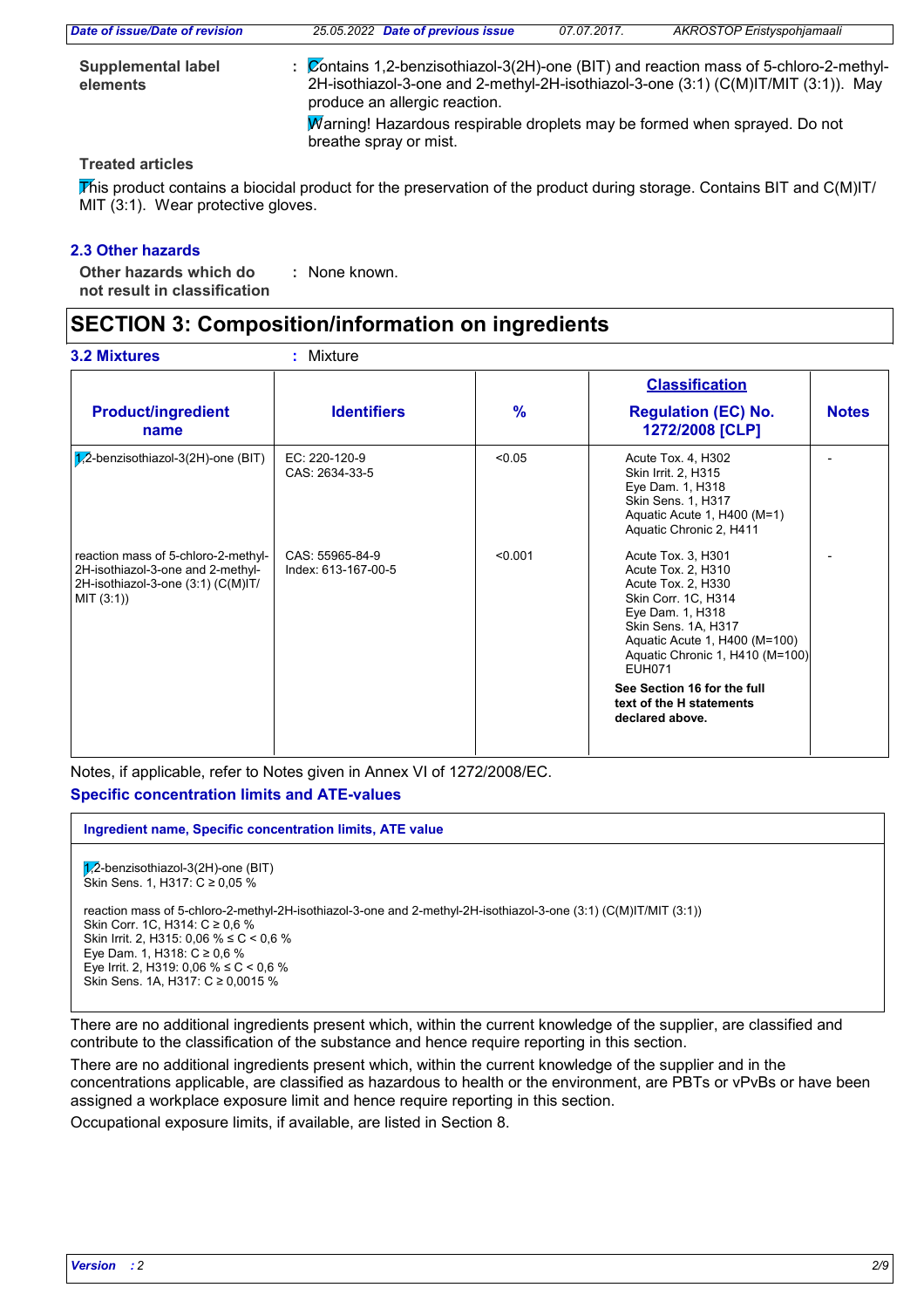| Date of issue/Date of revision        | 25.05.2022 Date of previous issue                                                                   | 07.07.2017. | <b>AKROSTOP Eristyspohjamaali</b>                                                                                                                                         |
|---------------------------------------|-----------------------------------------------------------------------------------------------------|-------------|---------------------------------------------------------------------------------------------------------------------------------------------------------------------------|
| <b>Supplemental label</b><br>elements | produce an allergic reaction.                                                                       |             | Contains 1,2-benzisothiazol-3(2H)-one (BIT) and reaction mass of 5-chloro-2-methyl-<br>2H-isothiazol-3-one and 2-methyl-2H-isothiazol-3-one (3:1) (C(M)IT/MIT (3:1)). May |
|                                       | Marning! Hazardous respirable droplets may be formed when sprayed. Do not<br>breathe spray or mist. |             |                                                                                                                                                                           |

### **Treated articles**

This product contains a biocidal product for the preservation of the product during storage. Contains BIT and C(M)IT/ MIT (3:1). Wear protective gloves.

### **2.3 Other hazards**

**Other hazards which do : not result in classification** : None known.

# **SECTION 3: Composition/information on ingredients**

|                                                                                                                              |                                        |               | <b>Classification</b>                                                                                                                                                                                                                                                            |              |  |
|------------------------------------------------------------------------------------------------------------------------------|----------------------------------------|---------------|----------------------------------------------------------------------------------------------------------------------------------------------------------------------------------------------------------------------------------------------------------------------------------|--------------|--|
| <b>Product/ingredient</b><br>name                                                                                            | <b>Identifiers</b>                     | $\frac{9}{6}$ | <b>Regulation (EC) No.</b><br>1272/2008 [CLP]                                                                                                                                                                                                                                    | <b>Notes</b> |  |
| $7,2$ -benzisothiazol-3(2H)-one (BIT)                                                                                        | EC: 220-120-9<br>CAS: 2634-33-5        | < 0.05        | Acute Tox. 4, H302<br>Skin Irrit. 2, H315<br>Eye Dam. 1, H318<br>Skin Sens. 1, H317<br>Aquatic Acute 1, H400 (M=1)<br>Aquatic Chronic 2, H411                                                                                                                                    |              |  |
| reaction mass of 5-chloro-2-methyl-<br>2H-isothiazol-3-one and 2-methyl-<br>2H-isothiazol-3-one (3:1) (C(M)IT/<br>MIT (3:1)) | CAS: 55965-84-9<br>Index: 613-167-00-5 | < 0.001       | Acute Tox. 3, H301<br>Acute Tox. 2, H310<br>Acute Tox. 2, H330<br>Skin Corr. 1C, H314<br>Eye Dam. 1, H318<br>Skin Sens. 1A, H317<br>Aquatic Acute 1, H400 (M=100)<br>Aquatic Chronic 1, H410 (M=100)<br><b>EUH071</b><br>See Section 16 for the full<br>text of the H statements |              |  |

Notes, if applicable, refer to Notes given in Annex VI of 1272/2008/EC. **Specific concentration limits and ATE-values**

 $\sqrt{1/2}$ -benzisothiazol-3(2H)-one (BIT)  $\overleftrightarrow{S}$ kin Sens. 1, H317: C ≥ 0,05 % reaction mass of 5-chloro-2-methyl-2H-isothiazol-3-one and 2-methyl-2H-isothiazol-3-one (3:1) (C(M)IT/MIT (3:1)) Skin Corr. 1C, H314: C ≥ 0,6 % Skin Irrit. 2, H315: 0,06 % ≤ C < 0,6 % Eye Dam. 1, H318: C ≥ 0,6 % Eye Irrit. 2, H319: 0,06 % ≤ C < 0,6 % Skin Sens. 1A, H317: C ≥ 0,0015 % **Ingredient name, Specific concentration limits, ATE value**

There are no additional ingredients present which, within the current knowledge of the supplier, are classified and contribute to the classification of the substance and hence require reporting in this section.

There are no additional ingredients present which, within the current knowledge of the supplier and in the concentrations applicable, are classified as hazardous to health or the environment, are PBTs or vPvBs or have been assigned a workplace exposure limit and hence require reporting in this section.

Occupational exposure limits, if available, are listed in Section 8.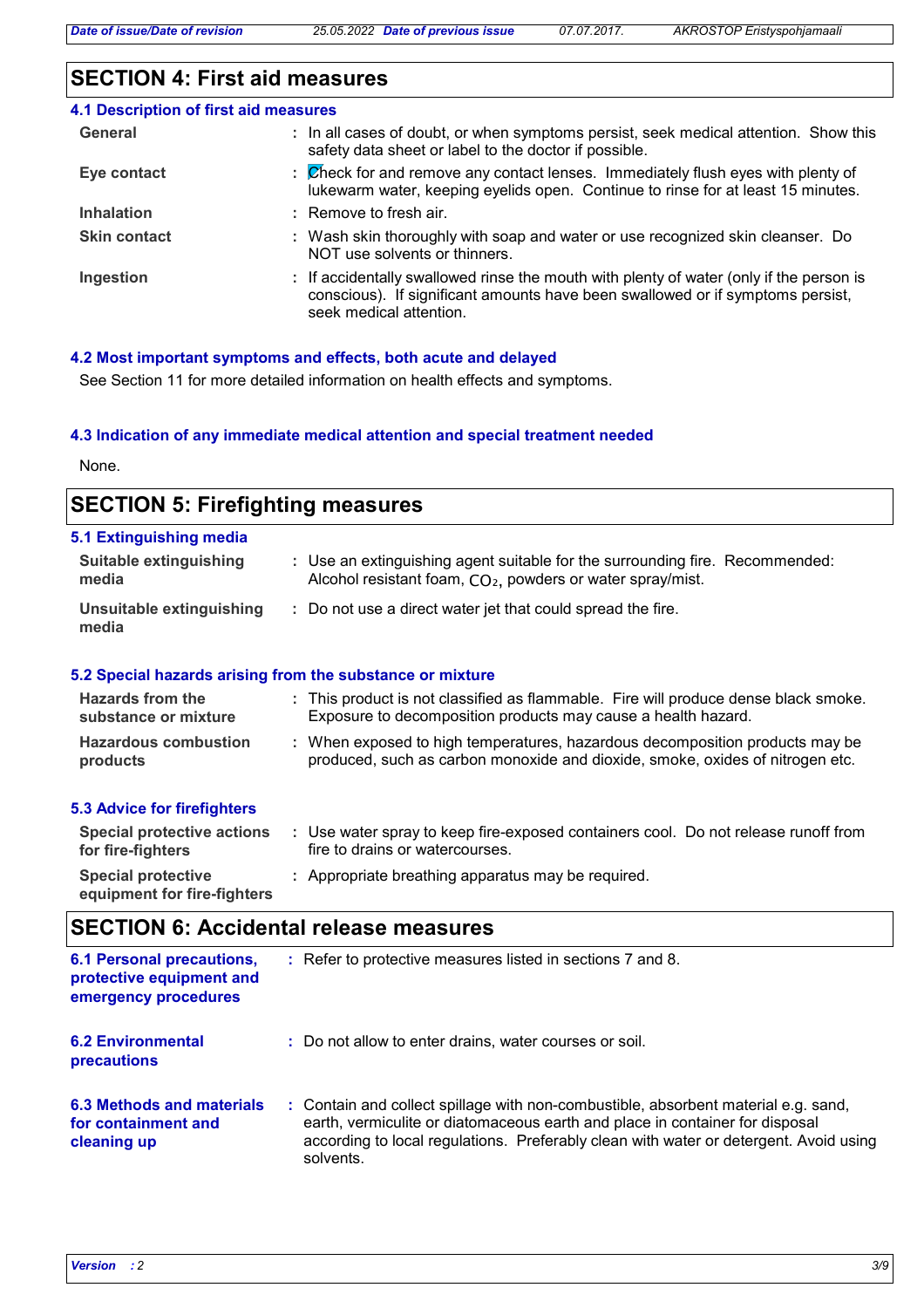# **SECTION 4: First aid measures**

| 4.1 Description of first aid measures |                                                                                                                                                                                                      |
|---------------------------------------|------------------------------------------------------------------------------------------------------------------------------------------------------------------------------------------------------|
| General                               | : In all cases of doubt, or when symptoms persist, seek medical attention. Show this<br>safety data sheet or label to the doctor if possible.                                                        |
| Eye contact                           | : Check for and remove any contact lenses. Immediately flush eyes with plenty of<br>lukewarm water, keeping eyelids open. Continue to rinse for at least 15 minutes.                                 |
| <b>Inhalation</b>                     | : Remove to fresh air.                                                                                                                                                                               |
| <b>Skin contact</b>                   | : Wash skin thoroughly with soap and water or use recognized skin cleanser. Do<br>NOT use solvents or thinners.                                                                                      |
| Ingestion                             | : If accidentally swallowed rinse the mouth with plenty of water (only if the person is<br>conscious). If significant amounts have been swallowed or if symptoms persist,<br>seek medical attention. |

### **4.2 Most important symptoms and effects, both acute and delayed**

See Section 11 for more detailed information on health effects and symptoms.

### **4.3 Indication of any immediate medical attention and special treatment needed**

None.

| <b>SECTION 5: Firefighting measures</b>                   |  |                                                                                                                                                               |  |
|-----------------------------------------------------------|--|---------------------------------------------------------------------------------------------------------------------------------------------------------------|--|
| 5.1 Extinguishing media<br>Suitable extinguishing         |  | : Use an extinguishing agent suitable for the surrounding fire. Recommended:                                                                                  |  |
| media                                                     |  | Alcohol resistant foam, CO <sub>2</sub> , powders or water spray/mist.                                                                                        |  |
| Unsuitable extinguishing<br>media                         |  | : Do not use a direct water jet that could spread the fire.                                                                                                   |  |
| 5.2 Special hazards arising from the substance or mixture |  |                                                                                                                                                               |  |
| Hazards from the<br>substance or mixture                  |  | : This product is not classified as flammable. Fire will produce dense black smoke.<br>Exposure to decomposition products may cause a health hazard.          |  |
| <b>Hazardous combustion</b><br>products                   |  | : When exposed to high temperatures, hazardous decomposition products may be<br>produced, such as carbon monoxide and dioxide, smoke, oxides of nitrogen etc. |  |
| <b>5.3 Advice for firefighters</b>                        |  |                                                                                                                                                               |  |
| <b>Special protective actions</b><br>for fire-fighters    |  | : Use water spray to keep fire-exposed containers cool. Do not release runoff from<br>fire to drains or watercourses.                                         |  |
| <b>Special protective</b>                                 |  | : Appropriate breathing apparatus may be required.                                                                                                            |  |

# **SECTION 6: Accidental release measures**

**equipment for fire-fighters**

| <b>6.1 Personal precautions,</b><br>protective equipment and<br>emergency procedures | : Refer to protective measures listed in sections 7 and 8.                                                                                                                                                                                                               |
|--------------------------------------------------------------------------------------|--------------------------------------------------------------------------------------------------------------------------------------------------------------------------------------------------------------------------------------------------------------------------|
| <b>6.2 Environmental</b><br>precautions                                              | : Do not allow to enter drains, water courses or soil.                                                                                                                                                                                                                   |
| <b>6.3 Methods and materials</b><br>for containment and<br>cleaning up               | : Contain and collect spillage with non-combustible, absorbent material e.g. sand,<br>earth, vermiculite or diatomaceous earth and place in container for disposal<br>according to local regulations. Preferably clean with water or detergent. Avoid using<br>solvents. |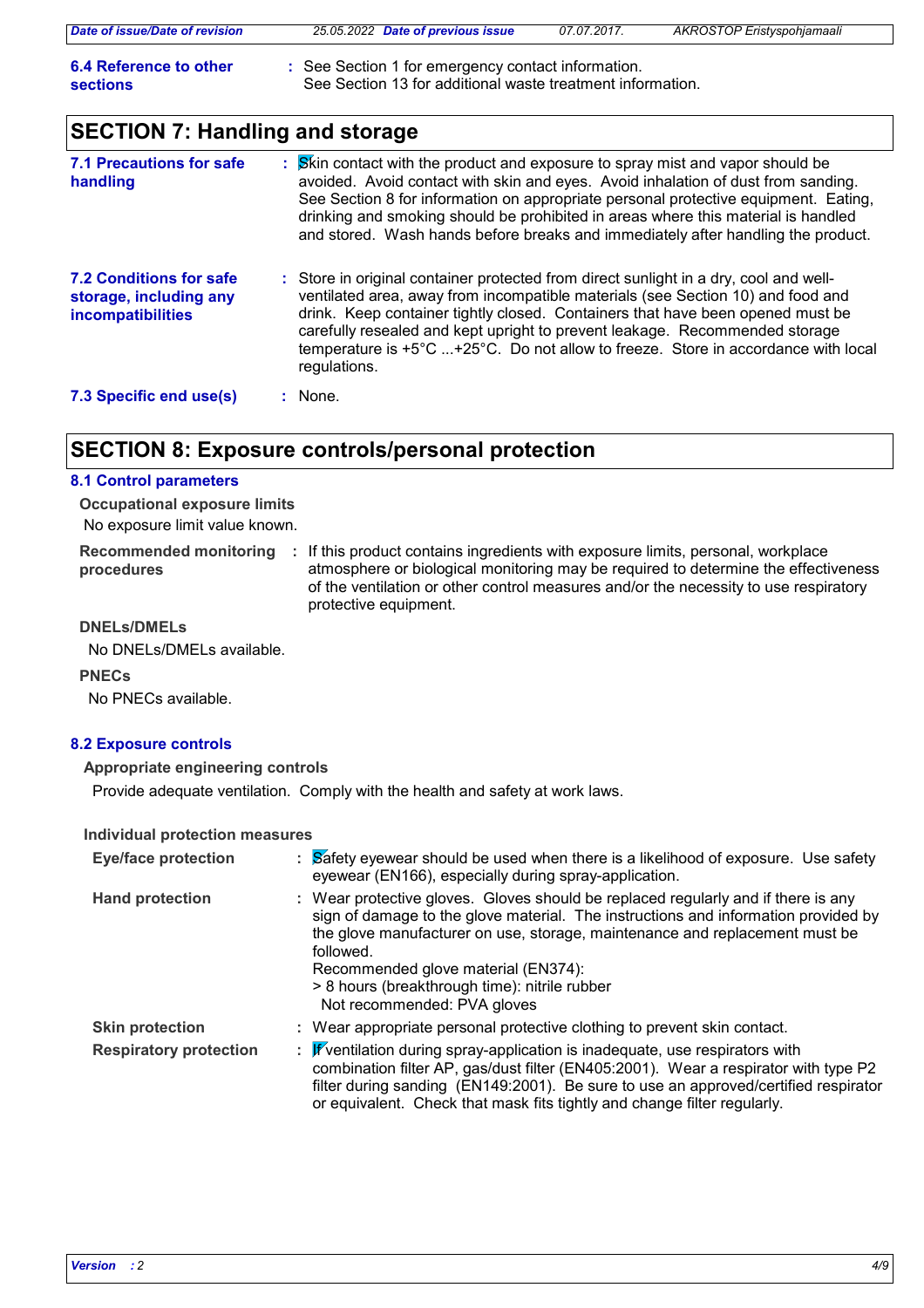| Date of issue/Date of revision     | 25.05.2022 Date of previous issue                                                                                | 07.07.2017. | <b>AKROSTOP Eristyspohjamaali</b> |
|------------------------------------|------------------------------------------------------------------------------------------------------------------|-------------|-----------------------------------|
| 6.4 Reference to other<br>sections | : See Section 1 for emergency contact information.<br>See Section 13 for additional waste treatment information. |             |                                   |

# **SECTION 7: Handling and storage**

| 7.1 Precautions for safe<br>handling                                          | Skin contact with the product and exposure to spray mist and vapor should be<br>avoided. Avoid contact with skin and eyes. Avoid inhalation of dust from sanding.<br>See Section 8 for information on appropriate personal protective equipment. Eating,<br>drinking and smoking should be prohibited in areas where this material is handled<br>and stored. Wash hands before breaks and immediately after handling the product.              |
|-------------------------------------------------------------------------------|------------------------------------------------------------------------------------------------------------------------------------------------------------------------------------------------------------------------------------------------------------------------------------------------------------------------------------------------------------------------------------------------------------------------------------------------|
| <b>7.2 Conditions for safe</b><br>storage, including any<br>incompatibilities | : Store in original container protected from direct sunlight in a dry, cool and well-<br>ventilated area, away from incompatible materials (see Section 10) and food and<br>drink. Keep container tightly closed. Containers that have been opened must be<br>carefully resealed and kept upright to prevent leakage. Recommended storage<br>temperature is +5°C +25°C. Do not allow to freeze. Store in accordance with local<br>regulations. |
| 7.3 Specific end use(s)                                                       | $:$ None.                                                                                                                                                                                                                                                                                                                                                                                                                                      |

# **SECTION 8: Exposure controls/personal protection**

### **8.1 Control parameters**

No exposure limit value known. **Occupational exposure limits**

**Recommended monitoring**  If this product contains ingredients with exposure limits, personal, workplace **: procedures** atmosphere or biological monitoring may be required to determine the effectiveness of the ventilation or other control measures and/or the necessity to use respiratory protective equipment.

### **DNELs/DMELs**

No DNELs/DMELs available.

### **PNECs**

No PNECs available.

### **8.2 Exposure controls**

### **Appropriate engineering controls**

Provide adequate ventilation. Comply with the health and safety at work laws.

### **Individual protection measures**

| <b>Eye/face protection</b>    | : Safety eyewear should be used when there is a likelihood of exposure. Use safety<br>eyewear (EN166), especially during spray-application.                                                                                                                                                                                                                                                |
|-------------------------------|--------------------------------------------------------------------------------------------------------------------------------------------------------------------------------------------------------------------------------------------------------------------------------------------------------------------------------------------------------------------------------------------|
| <b>Hand protection</b>        | : Wear protective gloves. Gloves should be replaced regularly and if there is any<br>sign of damage to the glove material. The instructions and information provided by<br>the glove manufacturer on use, storage, maintenance and replacement must be<br>followed.<br>Recommended glove material (EN374):<br>> 8 hours (breakthrough time): nitrile rubber<br>Not recommended: PVA gloves |
| <b>Skin protection</b>        | : Wear appropriate personal protective clothing to prevent skin contact.                                                                                                                                                                                                                                                                                                                   |
| <b>Respiratory protection</b> | : Fventilation during spray-application is inadequate, use respirators with<br>combination filter AP, gas/dust filter (EN405:2001). Wear a respirator with type P2<br>filter during sanding (EN149:2001). Be sure to use an approved/certified respirator<br>or equivalent. Check that mask fits tightly and change filter regularly.                                                      |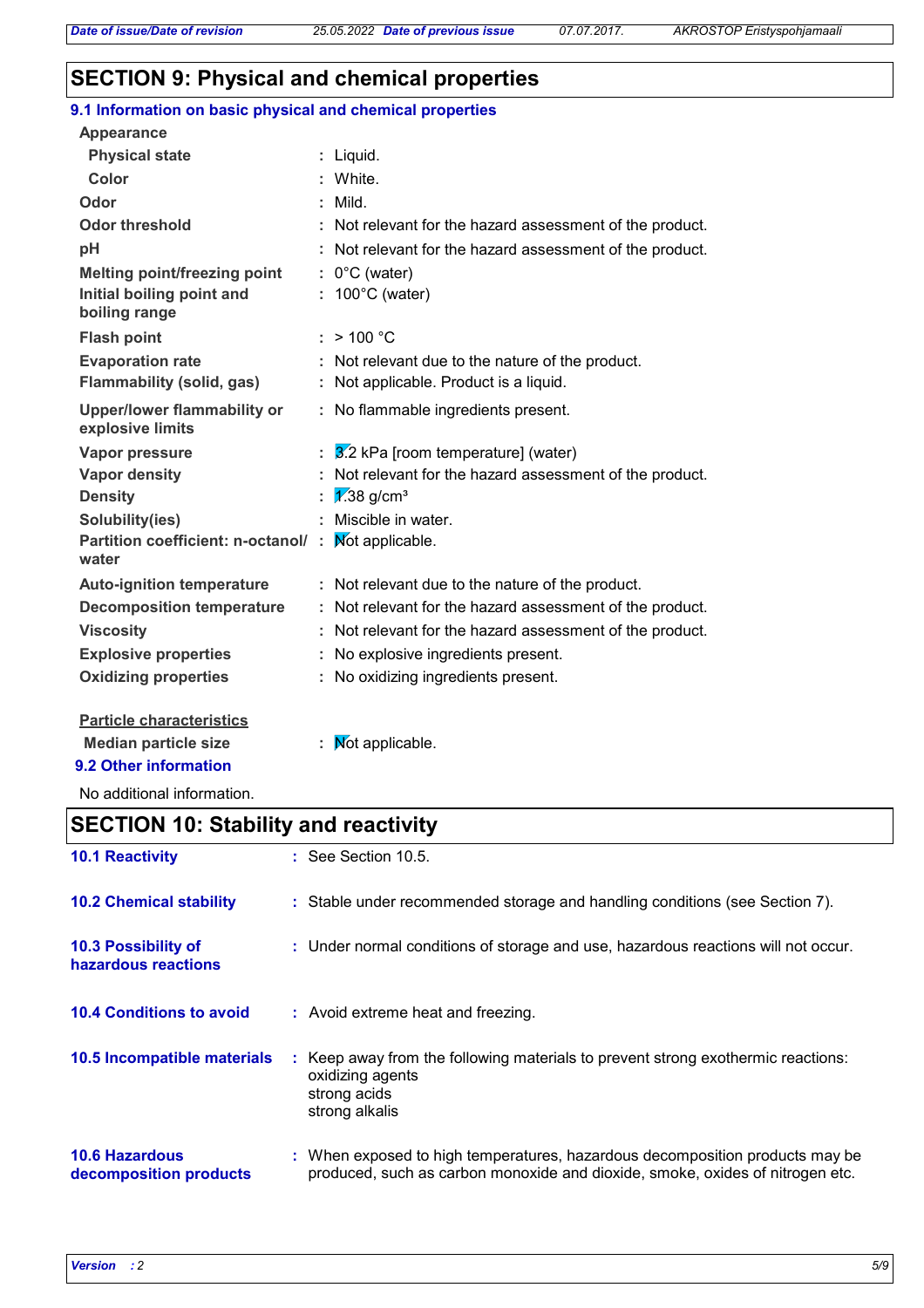# **SECTION 9: Physical and chemical properties**

| 9.1 Information on basic physical and chemical properties |                                                          |
|-----------------------------------------------------------|----------------------------------------------------------|
| <b>Appearance</b>                                         |                                                          |
| <b>Physical state</b>                                     | : Liquid.                                                |
| <b>Color</b>                                              | : White.                                                 |
| Odor                                                      | Mild.                                                    |
| <b>Odor threshold</b>                                     | Not relevant for the hazard assessment of the product.   |
| рH                                                        | Not relevant for the hazard assessment of the product.   |
| <b>Melting point/freezing point</b>                       | $: 0^{\circ}$ C (water)                                  |
| Initial boiling point and<br>boiling range                | $: 100^{\circ}$ C (water)                                |
| <b>Flash point</b>                                        | : > 100 °C                                               |
| <b>Evaporation rate</b>                                   | Not relevant due to the nature of the product.           |
| <b>Flammability (solid, gas)</b>                          | : Not applicable. Product is a liquid.                   |
| <b>Upper/lower flammability or</b><br>explosive limits    | : No flammable ingredients present.                      |
| <b>Vapor pressure</b>                                     | $3.2$ kPa [room temperature] (water)                     |
| <b>Vapor density</b>                                      | Not relevant for the hazard assessment of the product.   |
| <b>Density</b>                                            | $\sqrt{2.38}$ g/cm <sup>3</sup>                          |
| Solubility(ies)                                           | Miscible in water.                                       |
| Partition coefficient: n-octanol/:<br>water               | Not applicable.                                          |
| <b>Auto-ignition temperature</b>                          | : Not relevant due to the nature of the product.         |
| <b>Decomposition temperature</b>                          | : Not relevant for the hazard assessment of the product. |
| <b>Viscosity</b>                                          | : Not relevant for the hazard assessment of the product. |
| <b>Explosive properties</b>                               | : No explosive ingredients present.                      |
| <b>Oxidizing properties</b>                               | : No oxidizing ingredients present.                      |
| <b>Particle characteristics</b>                           |                                                          |
| <b>Median particle size</b>                               | Mot applicable.                                          |

**9.2 Other information**

No additional information.

# **SECTION 10: Stability and reactivity**

| <b>10.1 Reactivity</b>                          | : See Section 10.5.                                                                                                                                           |
|-------------------------------------------------|---------------------------------------------------------------------------------------------------------------------------------------------------------------|
| <b>10.2 Chemical stability</b>                  | : Stable under recommended storage and handling conditions (see Section 7).                                                                                   |
| 10.3 Possibility of<br>hazardous reactions      | : Under normal conditions of storage and use, hazardous reactions will not occur.                                                                             |
| <b>10.4 Conditions to avoid</b>                 | : Avoid extreme heat and freezing.                                                                                                                            |
| 10.5 Incompatible materials                     | : Keep away from the following materials to prevent strong exothermic reactions:<br>oxidizing agents<br>strong acids<br>strong alkalis                        |
| <b>10.6 Hazardous</b><br>decomposition products | : When exposed to high temperatures, hazardous decomposition products may be<br>produced, such as carbon monoxide and dioxide, smoke, oxides of nitrogen etc. |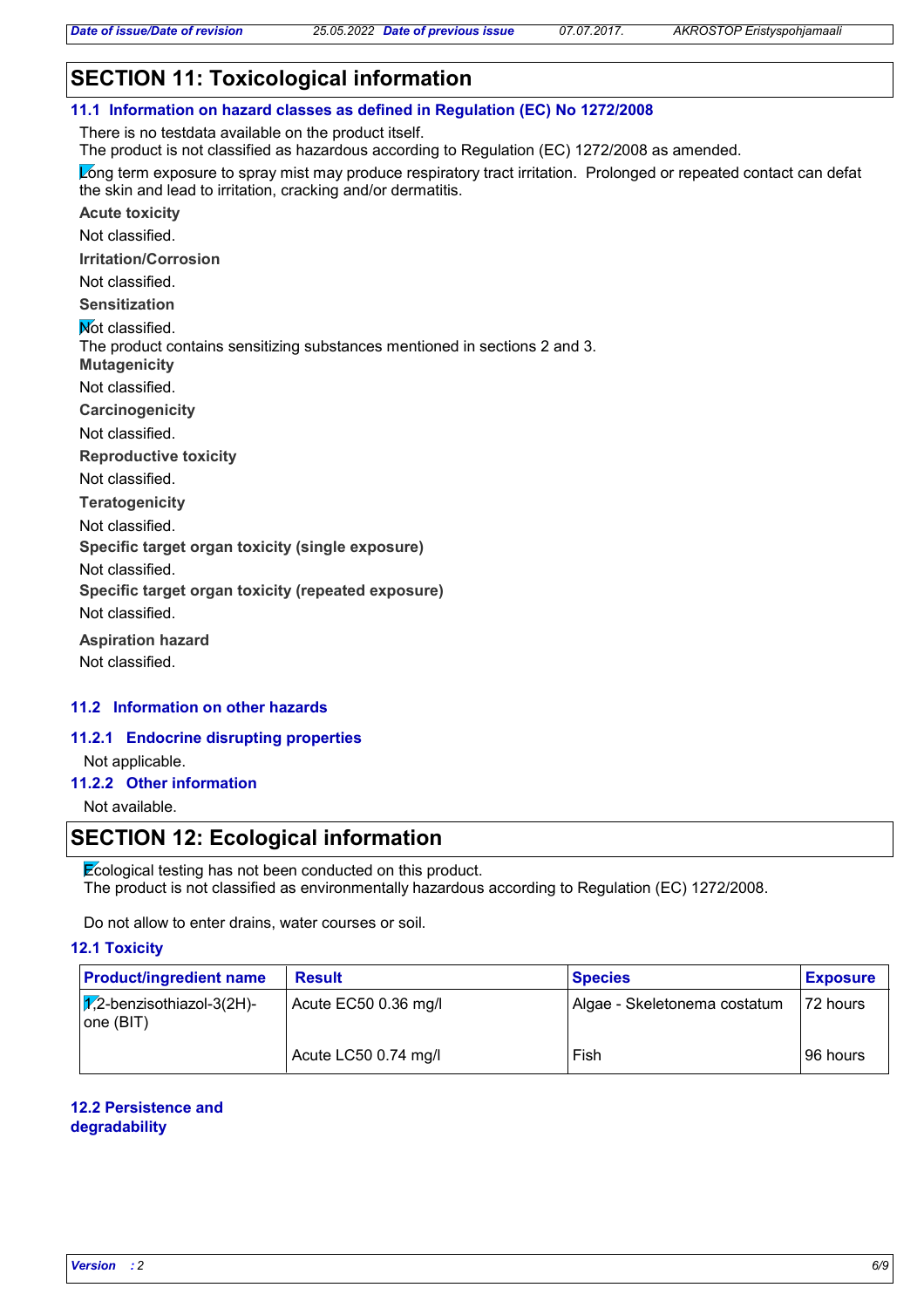# **SECTION 11: Toxicological information**

**11.1 Information on hazard classes as defined in Regulation (EC) No 1272/2008**

There is no testdata available on the product itself.

The product is not classified as hazardous according to Regulation (EC) 1272/2008 as amended.

Long term exposure to spray mist may produce respiratory tract irritation. Prolonged or repeated contact can defat the skin and lead to irritation, cracking and/or dermatitis.

**Acute toxicity**

Not classified.

**Irritation/Corrosion**

Not classified.

**Sensitization**

**Not classified.** 

The product contains sensitizing substances mentioned in sections 2 and 3.

**Mutagenicity**

Not classified.

**Carcinogenicity**

Not classified.

**Reproductive toxicity**

Not classified.

**Teratogenicity**

Not classified.

**Specific target organ toxicity (single exposure)**

Not classified.

**Specific target organ toxicity (repeated exposure)**

Not classified.

**Aspiration hazard** Not classified.

### **11.2 Information on other hazards**

#### **11.2.1 Endocrine disrupting properties**

Not applicable.

### **11.2.2 Other information**

Not available.

### **SECTION 12: Ecological information**

Ecological testing has not been conducted on this product. The product is not classified as environmentally hazardous according to Regulation (EC) 1272/2008.

Do not allow to enter drains, water courses or soil.

### **12.1 Toxicity**

| <b>Product/ingredient name</b>                 | <b>Result</b>        | <b>Species</b>               | <b>Exposure</b> |
|------------------------------------------------|----------------------|------------------------------|-----------------|
| $\sqrt{2}$ -benzisothiazol-3(2H)-<br>one (BIT) | Acute EC50 0.36 mg/l | Algae - Skeletonema costatum | 172 hours       |
|                                                | Acute LC50 0.74 mg/l | Fish                         | l 96 hours      |

### **12.2 Persistence and degradability**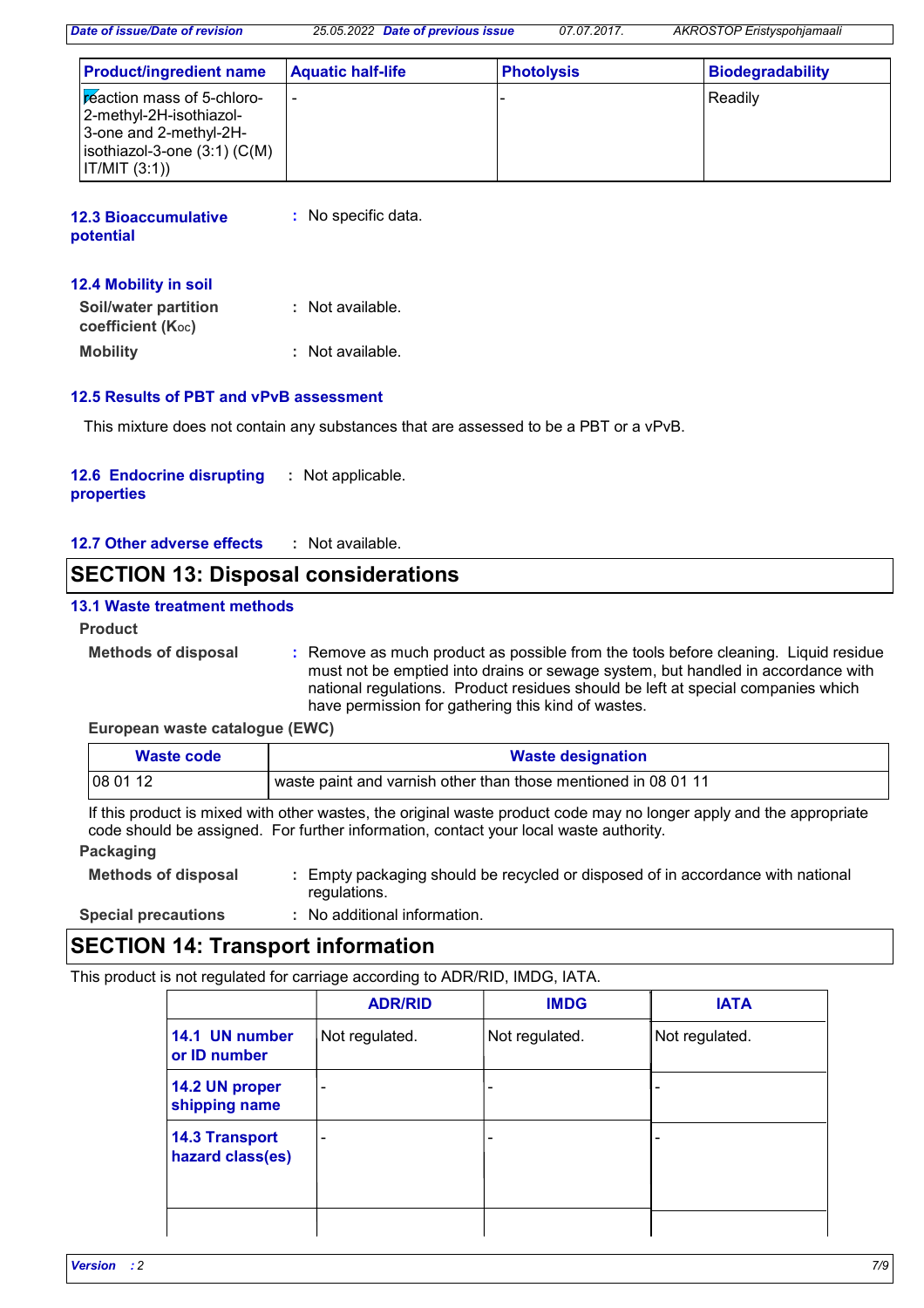| <b>Product/ingredient name</b>                                                                                                                            | <b>Aquatic half-life</b> | <b>Photolysis</b> | <b>Biodegradability</b> |
|-----------------------------------------------------------------------------------------------------------------------------------------------------------|--------------------------|-------------------|-------------------------|
| <b>Exercise In mass of 5-chloro-</b><br> 2-methyl-2H-isothiazol-<br>3-one and 2-methyl-2H-<br>$ $ isothiazol-3-one $(3:1)$ (C(M)<br>$\vert$ IT/MIT (3:1)) |                          |                   | Readily                 |

| <b>12.3 Bioaccumulative</b> | : No specific data. |
|-----------------------------|---------------------|
| potential                   |                     |
|                             |                     |

### **12.4 Mobility in soil**

| <b>Soil/water partition</b><br>coefficient (K <sub>oc</sub> ) | : Not available. |
|---------------------------------------------------------------|------------------|
| <b>Mobility</b>                                               | : Not available. |

### **12.5 Results of PBT and vPvB assessment**

This mixture does not contain any substances that are assessed to be a PBT or a vPvB.

#### **12.6 Endocrine disrupting properties :** Not applicable.

**12.7 Other adverse effects :**

### **SECTION 13: Disposal considerations**

### **13.1 Waste treatment methods**

### **Product**

**Methods of disposal :**

Remove as much product as possible from the tools before cleaning. Liquid residue must not be emptied into drains or sewage system, but handled in accordance with national regulations. Product residues should be left at special companies which have permission for gathering this kind of wastes.

### **European waste catalogue (EWC)**

| Waste code | <b>Waste designation</b>                                       |
|------------|----------------------------------------------------------------|
| 108 01 12  | waste paint and varnish other than those mentioned in 08 01 11 |

If this product is mixed with other wastes, the original waste product code may no longer apply and the appropriate code should be assigned. For further information, contact your local waste authority.

### **Packaging**

- **Methods of disposal :** Empty packaging should be recycled or disposed of in accordance with national regulations.
- **Special precautions :** No additional information.

### **SECTION 14: Transport information**

This product is not regulated for carriage according to ADR/RID, IMDG, IATA.

|                                           | <b>ADR/RID</b>           | <b>IMDG</b>    | <b>IATA</b>    |
|-------------------------------------------|--------------------------|----------------|----------------|
| 14.1 UN number<br>or ID number            | Not regulated.           | Not regulated. | Not regulated. |
| 14.2 UN proper<br>shipping name           | $\overline{\phantom{a}}$ | ۰              |                |
| <b>14.3 Transport</b><br>hazard class(es) | $\overline{\phantom{a}}$ | ۰              |                |
|                                           |                          |                |                |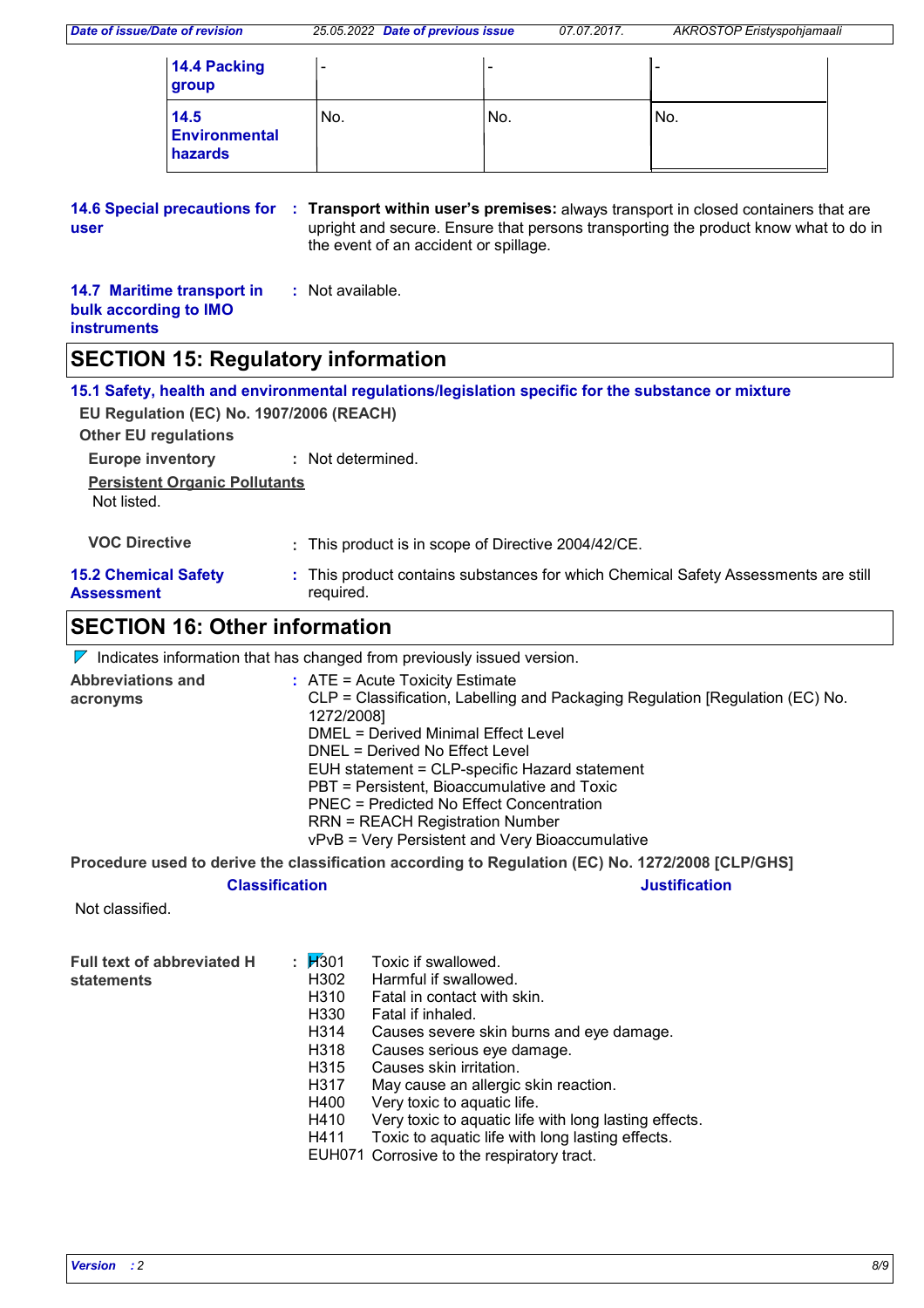| 14.4 Packing<br>group                   | $\overline{\phantom{0}}$ | -    | -    |
|-----------------------------------------|--------------------------|------|------|
| 14.5<br><b>Environmental</b><br>hazards | No.                      | 'No. | 'No. |

#### **14.6 Special precautions for Transport within user's premises:** always transport in closed containers that are **: user** upright and secure. Ensure that persons transporting the product know what to do in the event of an accident or spillage.

| 14.7 Maritime transport in | : Not available. |
|----------------------------|------------------|
| bulk according to IMO      |                  |
| <b>instruments</b>         |                  |

### **SECTION 15: Regulatory information**

**15.1 Safety, health and environmental regulations/legislation specific for the substance or mixture**

| EU Regulation (EC) No. 1907/2006 (REACH)<br><b>Other EU regulations</b> |                                                                                                 |
|-------------------------------------------------------------------------|-------------------------------------------------------------------------------------------------|
| <b>Europe inventory</b>                                                 | : Not determined.                                                                               |
| <b>Persistent Organic Pollutants</b><br>Not listed.                     |                                                                                                 |
| <b>VOC Directive</b>                                                    | : This product is in scope of Directive 2004/42/CE.                                             |
| <b>15.2 Chemical Safety</b><br>Assessment                               | : This product contains substances for which Chemical Safety Assessments are still<br>required. |
|                                                                         |                                                                                                 |

# **SECTION 16: Other information**

 $\nabla$  Indicates information that has changed from previously issued version.

| <b>Abbreviations and</b> | $:$ ATE = Acute Toxicity Estimate                                             |
|--------------------------|-------------------------------------------------------------------------------|
| acronyms                 | CLP = Classification, Labelling and Packaging Regulation [Regulation (EC) No. |
|                          | 1272/2008]                                                                    |
|                          | DMEL = Derived Minimal Effect Level                                           |
|                          | DNEL = Derived No Effect Level                                                |
|                          | EUH statement = CLP-specific Hazard statement                                 |
|                          | PBT = Persistent, Bioaccumulative and Toxic                                   |
|                          | PNEC = Predicted No Effect Concentration                                      |
|                          | <b>RRN = REACH Registration Number</b>                                        |
|                          | vPvB = Very Persistent and Very Bioaccumulative                               |
|                          |                                                                               |

**Procedure used to derive the classification according to Regulation (EC) No. 1272/2008 [CLP/GHS]**

### **Classification Justification**

Not classified.

| <b>Full text of abbreviated H</b> | $\frac{1}{2}$ $H_3$ 01 | Toxic if swallowed.                                   |
|-----------------------------------|------------------------|-------------------------------------------------------|
| <b>statements</b>                 | H302                   | Harmful if swallowed.                                 |
|                                   | H310                   | Fatal in contact with skin.                           |
|                                   | H330                   | Fatal if inhaled.                                     |
|                                   | H314                   | Causes severe skin burns and eye damage.              |
|                                   | H318                   | Causes serious eye damage.                            |
|                                   | H315                   | Causes skin irritation.                               |
|                                   | H317                   | May cause an allergic skin reaction.                  |
|                                   | H400                   | Very toxic to aquatic life.                           |
|                                   | H410                   | Very toxic to aquatic life with long lasting effects. |
|                                   | H411                   | Toxic to aquatic life with long lasting effects.      |
|                                   |                        | EUH071 Corrosive to the respiratory tract.            |